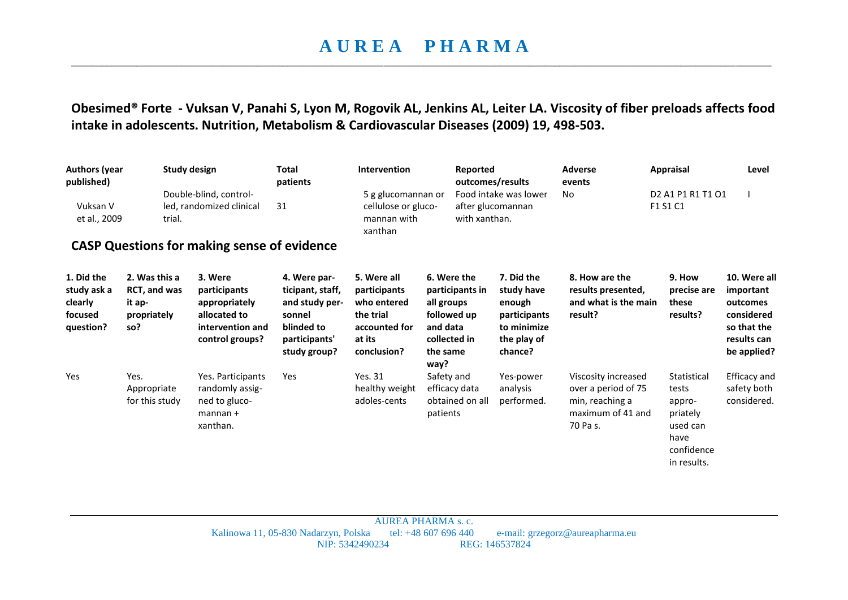## **A U R E A P H A R M A**  \_\_\_\_\_\_\_\_\_\_\_\_\_\_\_\_\_\_\_\_\_\_\_\_\_\_\_\_\_\_\_\_\_\_\_\_\_\_\_\_\_\_\_\_\_\_\_\_\_\_\_\_\_\_\_\_\_\_\_\_\_\_\_\_\_\_\_\_\_\_\_\_\_\_\_\_\_\_\_\_\_\_\_\_\_\_\_\_\_\_\_\_\_\_\_\_\_\_\_\_\_\_\_\_\_\_\_\_\_\_\_\_\_\_\_\_\_\_\_\_\_\_\_\_\_\_\_\_\_\_\_\_\_\_\_\_\_\_\_

**Obesimed® Forte - Vuksan V, Panahi S, Lyon M, Rogovik AL, Jenkins AL, Leiter LA. Viscosity of fiber preloads affects food intake in adolescents. Nutrition, Metabolism & Cardiovascular Diseases (2009) 19, 498-503.** 

| <b>Authors (year</b><br>published)<br>Vuksan V<br>et al., 2009 | trial.                                                        | <b>Study design</b><br>Double-blind, control-<br>led, randomized clinical                       | <b>Total</b><br>patients<br>31                                                                              | Intervention<br>5 g glucomannan or<br>cellulose or gluco-<br>mannan with<br>xanthan               | Reported<br>with xanthan.                                                                                   | outcomes/results<br>Food intake was lower<br>after glucomannan                              | <b>Adverse</b><br>events<br>No                                                                 | Appraisal<br>D <sub>2</sub> A <sub>1</sub> P <sub>1</sub> R <sub>1</sub> T <sub>1</sub> O <sub>1</sub><br>F1 S1 C1 | Level                                                                                            |
|----------------------------------------------------------------|---------------------------------------------------------------|-------------------------------------------------------------------------------------------------|-------------------------------------------------------------------------------------------------------------|---------------------------------------------------------------------------------------------------|-------------------------------------------------------------------------------------------------------------|---------------------------------------------------------------------------------------------|------------------------------------------------------------------------------------------------|--------------------------------------------------------------------------------------------------------------------|--------------------------------------------------------------------------------------------------|
| <b>CASP Questions for making sense of evidence</b>             |                                                               |                                                                                                 |                                                                                                             |                                                                                                   |                                                                                                             |                                                                                             |                                                                                                |                                                                                                                    |                                                                                                  |
| 1. Did the<br>study ask a<br>clearly<br>focused<br>question?   | 2. Was this a<br>RCT, and was<br>it ap-<br>propriately<br>so? | 3. Were<br>participants<br>appropriately<br>allocated to<br>intervention and<br>control groups? | 4. Were par-<br>ticipant, staff,<br>and study per-<br>sonnel<br>blinded to<br>participants'<br>study group? | 5. Were all<br>participants<br>who entered<br>the trial<br>accounted for<br>at its<br>conclusion? | 6. Were the<br>participants in<br>all groups<br>followed up<br>and data<br>collected in<br>the same<br>way? | 7. Did the<br>study have<br>enough<br>participants<br>to minimize<br>the play of<br>chance? | 8. How are the<br>results presented,<br>and what is the main<br>result?                        | 9. How<br>precise are<br>these<br>results?                                                                         | 10. Were all<br>important<br>outcomes<br>considered<br>so that the<br>results can<br>be applied? |
| Yes                                                            | Yes.<br>Appropriate<br>for this study                         | Yes. Participants<br>randomly assig-<br>ned to gluco-<br>$mannan +$<br>xanthan.                 | Yes                                                                                                         | Yes. 31<br>healthy weight<br>adoles-cents                                                         | Safety and<br>efficacy data<br>obtained on all<br>patients                                                  | Yes-power<br>analysis<br>performed.                                                         | Viscosity increased<br>over a period of 75<br>min, reaching a<br>maximum of 41 and<br>70 Pa s. | Statistical<br>tests<br>appro-<br>priately<br>used can<br>have<br>confidence<br>in results.                        | <b>Efficacy and</b><br>safety both<br>considered.                                                |